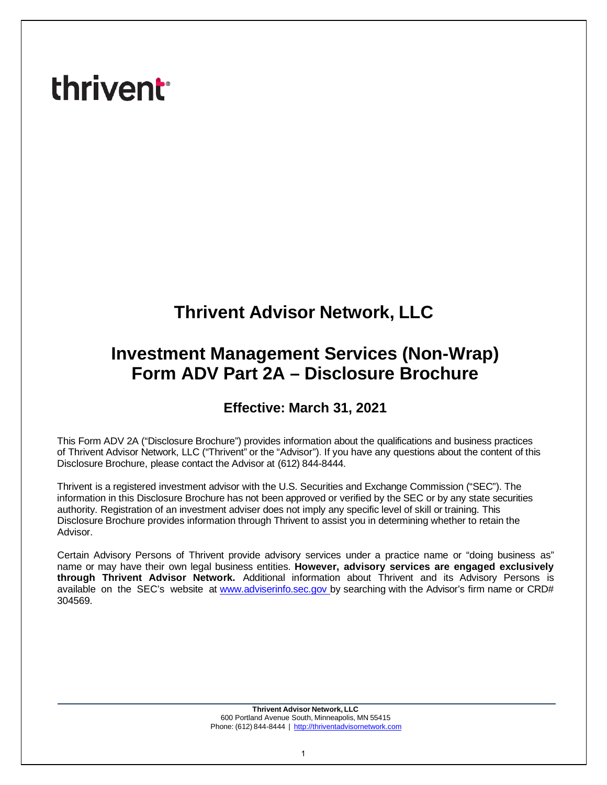# **thrivent**

## **Thrivent Advisor Network, LLC**

## **Investment Management Services (Non-Wrap) Form ADV Part 2A – Disclosure Brochure**

### **Effective: March 31, 2021**

This Form ADV 2A ("Disclosure Brochure") provides information about the qualifications and business practices of Thrivent Advisor Network, LLC ("Thrivent" or the "Advisor"). If you have any questions about the content of this Disclosure Brochure, please contact the Advisor at (612) 844-8444.

Thrivent is a registered investment advisor with the U.S. Securities and Exchange Commission ("SEC"). The information in this Disclosure Brochure has not been approved or verified by the SEC or by any state securities authority. Registration of an investment adviser does not imply any specific level of skill or training. This Disclosure Brochure provides information through Thrivent to assist you in determining whether to retain the Advisor.

Certain Advisory Persons of Thrivent provide advisory services under a practice name or "doing business as" name or may have their own legal business entities. **However, advisory services are engaged exclusively through Thrivent Advisor Network.** Additional information about Thrivent and its Advisory Persons is available on the SEC's website at [www.adviserinfo.sec.gov](http://www.adviserinfo.sec.gov/) by searching with the Advisor's firm name or CRD# 304569.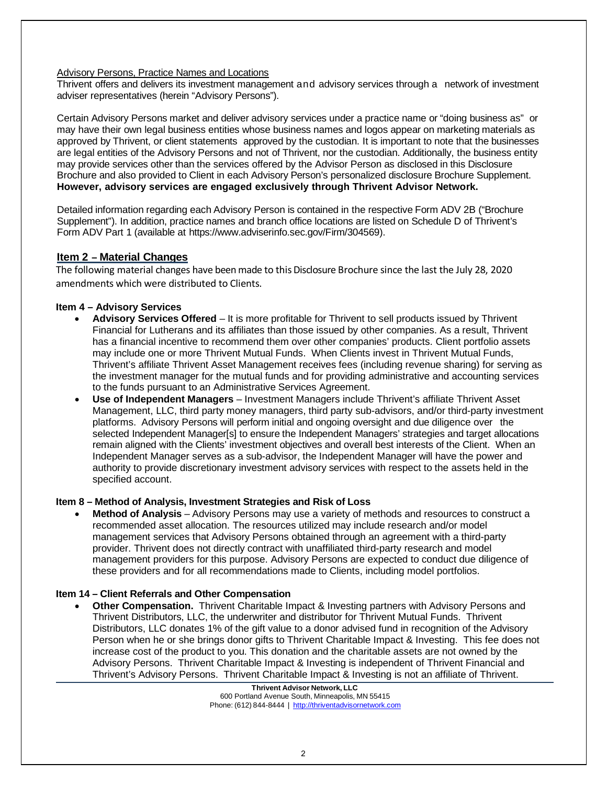#### Advisory Persons, Practice Names and Locations

Thrivent offers and delivers its investment management and advisory services through a network of investment adviser representatives (herein "Advisory Persons").

Certain Advisory Persons market and deliver advisory services under a practice name or "doing business as" or may have their own legal business entities whose business names and logos appear on marketing materials as approved by Thrivent, or client statements approved by the custodian. It is important to note that the businesses are legal entities of the Advisory Persons and not of Thrivent, nor the custodian. Additionally, the business entity may provide services other than the services offered by the Advisor Person as disclosed in this Disclosure Brochure and also provided to Client in each Advisory Person's personalized disclosure Brochure Supplement. **However, advisory services are engaged exclusively through Thrivent Advisor Network.**

Detailed information regarding each Advisory Person is contained in the respective Form ADV 2B ("Brochure Supplement"). In addition, practice names and branch office locations are listed on Schedule D of Thrivent's Form ADV Part 1 (available at https[://www.adviserinfo.sec.gov/Firm/304569\).](http://www.adviserinfo.sec.gov/Firm/304569))

#### <span id="page-1-0"></span>**Item 2 – Material Changes**

The following material changes have been made to this Disclosure Brochure since the last the July 28, 2020 amendments which were distributed to Clients.

#### **Item 4 – Advisory Services**

- **Advisory Services Offered** It is more profitable for Thrivent to sell products issued by Thrivent Financial for Lutherans and its affiliates than those issued by other companies. As a result, Thrivent has a financial incentive to recommend them over other companies' products. Client portfolio assets may include one or more Thrivent Mutual Funds. When Clients invest in Thrivent Mutual Funds, Thrivent's affiliate Thrivent Asset Management receives fees (including revenue sharing) for serving as the investment manager for the mutual funds and for providing administrative and accounting services to the funds pursuant to an Administrative Services Agreement.
- **Use of Independent Managers** Investment Managers include Thrivent's affiliate Thrivent Asset Management, LLC, third party money managers, third party sub-advisors, and/or third-party investment platforms. Advisory Persons will perform initial and ongoing oversight and due diligence over the selected Independent Manager[s] to ensure the Independent Managers' strategies and target allocations remain aligned with the Clients' investment objectives and overall best interests of the Client. When an Independent Manager serves as a sub-advisor, the Independent Manager will have the power and authority to provide discretionary investment advisory services with respect to the assets held in the specified account.

#### **Item 8 – Method of Analysis, Investment Strategies and Risk of Loss**

• **Method of Analysis** – Advisory Persons may use a variety of methods and resources to construct a recommended asset allocation. The resources utilized may include research and/or model management services that Advisory Persons obtained through an agreement with a third-party provider. Thrivent does not directly contract with unaffiliated third-party research and model management providers for this purpose. Advisory Persons are expected to conduct due diligence of these providers and for all recommendations made to Clients, including model portfolios.

#### **Item 14 – Client Referrals and Other Compensation**

• **Other Compensation.** Thrivent Charitable Impact & Investing partners with Advisory Persons and Thrivent Distributors, LLC, the underwriter and distributor for Thrivent Mutual Funds. Thrivent Distributors, LLC donates 1% of the gift value to a donor advised fund in recognition of the Advisory Person when he or she brings donor gifts to Thrivent Charitable Impact & Investing. This fee does not increase cost of the product to you. This donation and the charitable assets are not owned by the Advisory Persons. Thrivent Charitable Impact & Investing is independent of Thrivent Financial and Thrivent's Advisory Persons. Thrivent Charitable Impact & Investing is not an affiliate of Thrivent.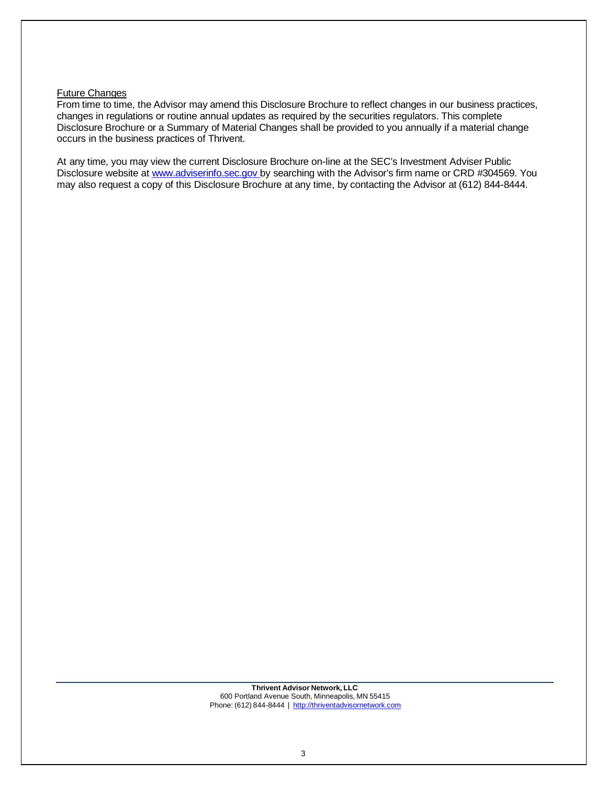#### Future Changes

From time to time, the Advisor may amend this Disclosure Brochure to reflect changes in our business practices, changes in regulations or routine annual updates as required by the securities regulators. This complete Disclosure Brochure or a Summary of Material Changes shall be provided to you annually if a material change occurs in the business practices of Thrivent.

At any time, you may view the current Disclosure Brochure on-line at the SEC's Investment Adviser Public Disclosure website at [www.adviserinfo.sec.gov](http://www.adviserinfo.sec.gov/) by searching with the Advisor's firm name or CRD #304569. You may also request a copy of this Disclosure Brochure at any time, by contacting the Advisor at (612) 844-8444.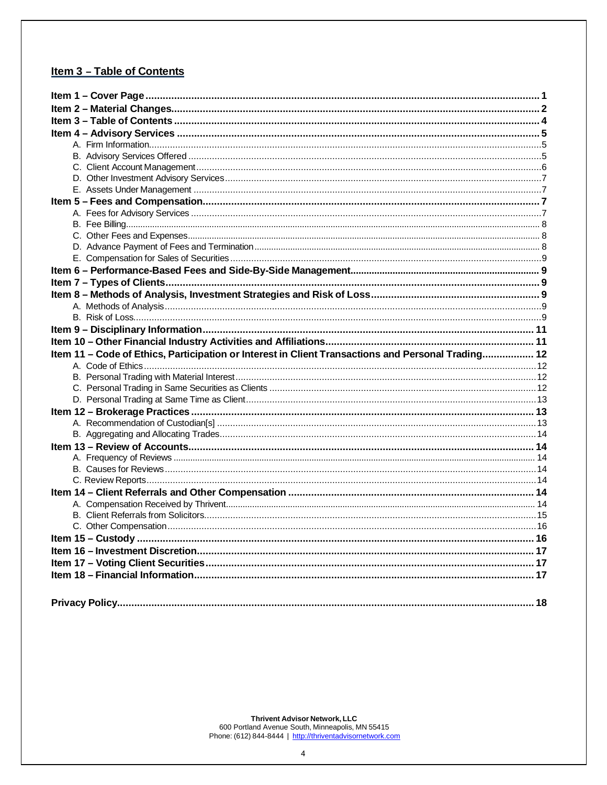#### <span id="page-3-0"></span>Item 3 - Table of Contents

| Item 11 - Code of Ethics, Participation or Interest in Client Transactions and Personal Trading 12 |  |
|----------------------------------------------------------------------------------------------------|--|
|                                                                                                    |  |
|                                                                                                    |  |
|                                                                                                    |  |
|                                                                                                    |  |
|                                                                                                    |  |
|                                                                                                    |  |
|                                                                                                    |  |
|                                                                                                    |  |
|                                                                                                    |  |
|                                                                                                    |  |
|                                                                                                    |  |
|                                                                                                    |  |
|                                                                                                    |  |
|                                                                                                    |  |
|                                                                                                    |  |
|                                                                                                    |  |
|                                                                                                    |  |
|                                                                                                    |  |
|                                                                                                    |  |
|                                                                                                    |  |
|                                                                                                    |  |
|                                                                                                    |  |
|                                                                                                    |  |
|                                                                                                    |  |
|                                                                                                    |  |
|                                                                                                    |  |
|                                                                                                    |  |
|                                                                                                    |  |
|                                                                                                    |  |
|                                                                                                    |  |
|                                                                                                    |  |
|                                                                                                    |  |
|                                                                                                    |  |
|                                                                                                    |  |
|                                                                                                    |  |
|                                                                                                    |  |
|                                                                                                    |  |
|                                                                                                    |  |
|                                                                                                    |  |
|                                                                                                    |  |
|                                                                                                    |  |
|                                                                                                    |  |
|                                                                                                    |  |

Thrivent Advisor Network, LLC<br>600 Portland Avenue South, Minneapolis, MN 55415<br>Phone: (612) 844-8444 | http://thriventadvisornetwork.com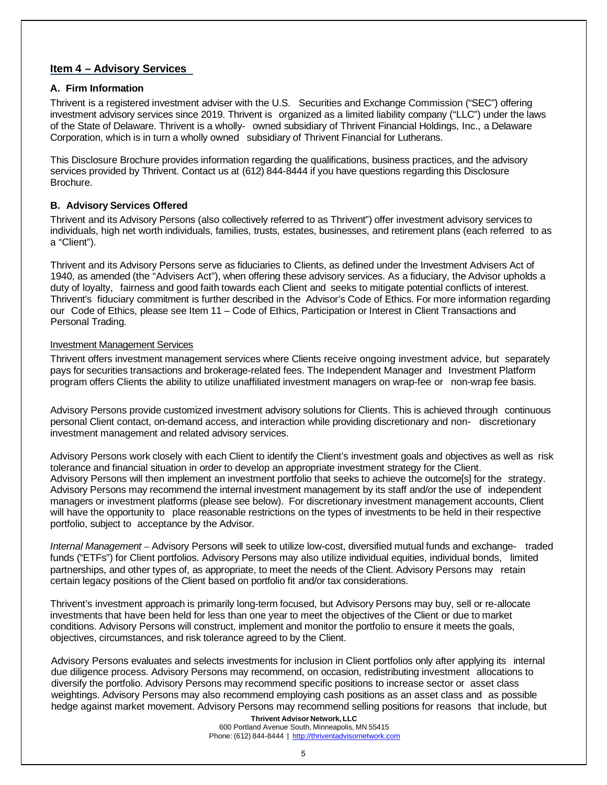#### <span id="page-4-0"></span>**Item 4 – Advisory Services**

#### <span id="page-4-1"></span>**A. Firm Information**

Thrivent is a registered investment adviser with the U.S. Securities and Exchange Commission ("SEC") offering investment advisory services since 2019. Thrivent is organized as a limited liability company ("LLC") under the laws of the State of Delaware. Thrivent is a wholly- owned subsidiary of Thrivent Financial Holdings, Inc., a Delaware Corporation, which is in turn a wholly owned subsidiary of Thrivent Financial for Lutherans.

This Disclosure Brochure provides information regarding the qualifications, business practices, and the advisory services provided by Thrivent. Contact us at (612) 844-8444 if you have questions regarding this Disclosure Brochure.

#### <span id="page-4-2"></span>**B. Advisory Services Offered**

Thrivent and its Advisory Persons (also collectively referred to as Thrivent") offer investment advisory services to individuals, high net worth individuals, families, trusts, estates, businesses, and retirement plans (each referred to as a "Client").

Thrivent and its Advisory Persons serve as fiduciaries to Clients, as defined under the Investment Advisers Act of 1940, as amended (the "Advisers Act"), when offering these advisory services. As a fiduciary, the Advisor upholds a duty of loyalty, fairness and good faith towards each Client and seeks to mitigate potential conflicts of interest. Thrivent's fiduciary commitment is further described in the Advisor's Code of Ethics. For more information regarding our Code of Ethics, please see Item 11 – Code of Ethics, Participation or Interest in Client Transactions and Personal Trading.

#### Investment Management Services

Thrivent offers investment management services where Clients receive ongoing investment advice, but separately pays for securities transactions and brokerage-related fees. The Independent Manager and Investment Platform program offers Clients the ability to utilize unaffiliated investment managers on wrap-fee or non-wrap fee basis.

Advisory Persons provide customized investment advisory solutions for Clients. This is achieved through continuous personal Client contact, on-demand access, and interaction while providing discretionary and non- discretionary investment management and related advisory services.

Advisory Persons work closely with each Client to identify the Client's investment goals and objectives as well as risk tolerance and financial situation in order to develop an appropriate investment strategy for the Client. Advisory Persons will then implement an investment portfolio that seeks to achieve the outcome[s] for the strategy. Advisory Persons may recommend the internal investment management by its staff and/or the use of independent managers or investment platforms (please see below). For discretionary investment management accounts, Client will have the opportunity to place reasonable restrictions on the types of investments to be held in their respective portfolio, subject to acceptance by the Advisor.

*Internal Management* – Advisory Persons will seek to utilize low-cost, diversified mutual funds and exchange- traded funds ("ETFs") for Client portfolios. Advisory Persons may also utilize individual equities, individual bonds, limited partnerships, and other types of, as appropriate, to meet the needs of the Client. Advisory Persons may retain certain legacy positions of the Client based on portfolio fit and/or tax considerations.

Thrivent's investment approach is primarily long-term focused, but Advisory Persons may buy, sell or re-allocate investments that have been held for less than one year to meet the objectives of the Client or due to market conditions. Advisory Persons will construct, implement and monitor the portfolio to ensure it meets the goals, objectives, circumstances, and risk tolerance agreed to by the Client.

Advisory Persons evaluates and selects investments for inclusion in Client portfolios only after applying its internal due diligence process. Advisory Persons may recommend, on occasion, redistributing investment allocations to diversify the portfolio. Advisory Persons may recommend specific positions to increase sector or asset class weightings. Advisory Persons may also recommend employing cash positions as an asset class and as possible hedge against market movement. Advisory Persons may recommend selling positions for reasons that include, but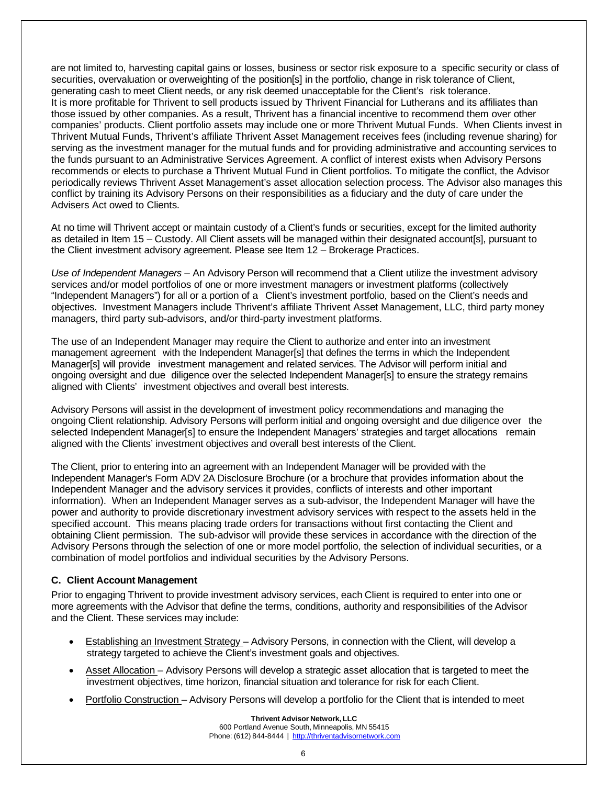are not limited to, harvesting capital gains or losses, business or sector risk exposure to a specific security or class of securities, overvaluation or overweighting of the position[s] in the portfolio, change in risk tolerance of Client, generating cash to meet Client needs, or any risk deemed unacceptable for the Client's risk tolerance. It is more profitable for Thrivent to sell products issued by Thrivent Financial for Lutherans and its affiliates than those issued by other companies. As a result, Thrivent has a financial incentive to recommend them over other companies' products. Client portfolio assets may include one or more Thrivent Mutual Funds. When Clients invest in Thrivent Mutual Funds, Thrivent's affiliate Thrivent Asset Management receives fees (including revenue sharing) for serving as the investment manager for the mutual funds and for providing administrative and accounting services to the funds pursuant to an Administrative Services Agreement. A conflict of interest exists when Advisory Persons recommends or elects to purchase a Thrivent Mutual Fund in Client portfolios. To mitigate the conflict, the Advisor periodically reviews Thrivent Asset Management's asset allocation selection process. The Advisor also manages this conflict by training its Advisory Persons on their responsibilities as a fiduciary and the duty of care under the Advisers Act owed to Clients.

At no time will Thrivent accept or maintain custody of a Client's funds or securities, except for the limited authority as detailed in Item 15 – Custody. All Client assets will be managed within their designated account[s], pursuant to the Client investment advisory agreement. Please see Item 12 – Brokerage Practices.

*Use of Independent Managers* – An Advisory Person will recommend that a Client utilize the investment advisory services and/or model portfolios of one or more investment managers or investment platforms (collectively "Independent Managers") for all or a portion of a Client's investment portfolio, based on the Client's needs and objectives. Investment Managers include Thrivent's affiliate Thrivent Asset Management, LLC, third party money managers, third party sub-advisors, and/or third-party investment platforms.

The use of an Independent Manager may require the Client to authorize and enter into an investment management agreement with the Independent Manager[s] that defines the terms in which the Independent Manager[s] will provide investment management and related services. The Advisor will perform initial and ongoing oversight and due diligence over the selected Independent Manager[s] to ensure the strategy remains aligned with Clients' investment objectives and overall best interests.

Advisory Persons will assist in the development of investment policy recommendations and managing the ongoing Client relationship. Advisory Persons will perform initial and ongoing oversight and due diligence over the selected Independent Manager[s] to ensure the Independent Managers' strategies and target allocations remain aligned with the Clients' investment objectives and overall best interests of the Client.

The Client, prior to entering into an agreement with an Independent Manager will be provided with the Independent Manager's Form ADV 2A Disclosure Brochure (or a brochure that provides information about the Independent Manager and the advisory services it provides, conflicts of interests and other important information). When an Independent Manager serves as a sub-advisor, the Independent Manager will have the power and authority to provide discretionary investment advisory services with respect to the assets held in the specified account. This means placing trade orders for transactions without first contacting the Client and obtaining Client permission. The sub-advisor will provide these services in accordance with the direction of the Advisory Persons through the selection of one or more model portfolio, the selection of individual securities, or a combination of model portfolios and individual securities by the Advisory Persons.

#### <span id="page-5-0"></span>**C. Client Account Management**

Prior to engaging Thrivent to provide investment advisory services, each Client is required to enter into one or more agreements with the Advisor that define the terms, conditions, authority and responsibilities of the Advisor and the Client. These services may include:

- Establishing an Investment Strategy Advisory Persons, in connection with the Client, will develop a strategy targeted to achieve the Client's investment goals and objectives.
- Asset Allocation Advisory Persons will develop a strategic asset allocation that is targeted to meet the investment objectives, time horizon, financial situation and tolerance for risk for each Client.
- Portfolio Construction Advisory Persons will develop a portfolio for the Client that is intended to meet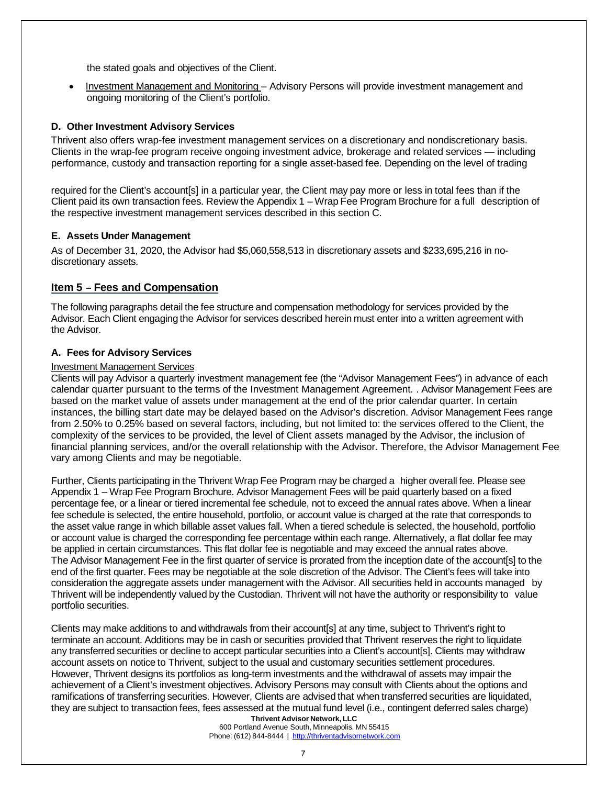the stated goals and objectives of the Client.

• Investment Management and Monitoring – Advisory Persons will provide investment management and ongoing monitoring of the Client's portfolio.

#### <span id="page-6-0"></span>**D. Other Investment Advisory Services**

Thrivent also offers wrap-fee investment management services on a discretionary and nondiscretionary basis. Clients in the wrap-fee program receive ongoing investment advice, brokerage and related services — including performance, custody and transaction reporting for a single asset-based fee. Depending on the level of trading

required for the Client's account[s] in a particular year, the Client may pay more or less in total fees than if the Client paid its own transaction fees. Review the Appendix 1 – Wrap Fee Program Brochure for a full description of the respective investment management services described in this section C.

#### <span id="page-6-1"></span>**E. Assets Under Management**

As of December 31, 2020, the Advisor had \$5,060,558,513 in discretionary assets and \$233,695,216 in nodiscretionary assets.

#### <span id="page-6-2"></span>**Item 5 – Fees and Compensation**

The following paragraphs detail the fee structure and compensation methodology for services provided by the Advisor. Each Client engaging the Advisor for services described herein must enter into a written agreement with the Advisor.

#### <span id="page-6-3"></span>**A. Fees for Advisory Services**

#### Investment Management Services

Clients will pay Advisor a quarterly investment management fee (the "Advisor Management Fees") in advance of each calendar quarter pursuant to the terms of the Investment Management Agreement. . Advisor Management Fees are based on the market value of assets under management at the end of the prior calendar quarter. In certain instances, the billing start date may be delayed based on the Advisor's discretion. Advisor Management Fees range from 2.50% to 0.25% based on several factors, including, but not limited to: the services offered to the Client, the complexity of the services to be provided, the level of Client assets managed by the Advisor, the inclusion of financial planning services, and/or the overall relationship with the Advisor. Therefore, the Advisor Management Fee vary among Clients and may be negotiable.

Further, Clients participating in the Thrivent Wrap Fee Program may be charged a higher overall fee. Please see Appendix 1 – Wrap Fee Program Brochure. Advisor Management Fees will be paid quarterly based on a fixed percentage fee, or a linear or tiered incremental fee schedule, not to exceed the annual rates above. When a linear fee schedule is selected, the entire household, portfolio, or account value is charged at the rate that corresponds to the asset value range in which billable asset values fall. When a tiered schedule is selected, the household, portfolio or account value is charged the corresponding fee percentage within each range. Alternatively, a flat dollar fee may be applied in certain circumstances. This flat dollar fee is negotiable and may exceed the annual rates above. The Advisor Management Fee in the first quarter of service is prorated from the inception date of the account[s] to the end of the first quarter. Fees may be negotiable at the sole discretion of the Advisor. The Client's fees will take into consideration the aggregate assets under management with the Advisor. All securities held in accounts managed by Thrivent will be independently valued by the Custodian. Thrivent will not have the authority or responsibility to value portfolio securities.

Clients may make additions to and withdrawals from their account slat any time, subject to Thrivent's right to terminate an account. Additions may be in cash or securities provided that Thrivent reserves the right to liquidate any transferred securities or decline to accept particular securities into a Client's account[s]. Clients may withdraw account assets on notice to Thrivent, subject to the usual and customary securities settlement procedures. However, Thrivent designs its portfolios as long-term investments and the withdrawal of assets may impair the achievement of a Client's investment objectives. Advisory Persons may consult with Clients about the options and ramifications of transferring securities. However, Clients are advised that when transferred securities are liquidated, they are subject to transaction fees, fees assessed at the mutual fund level (i.e., contingent deferred sales charge)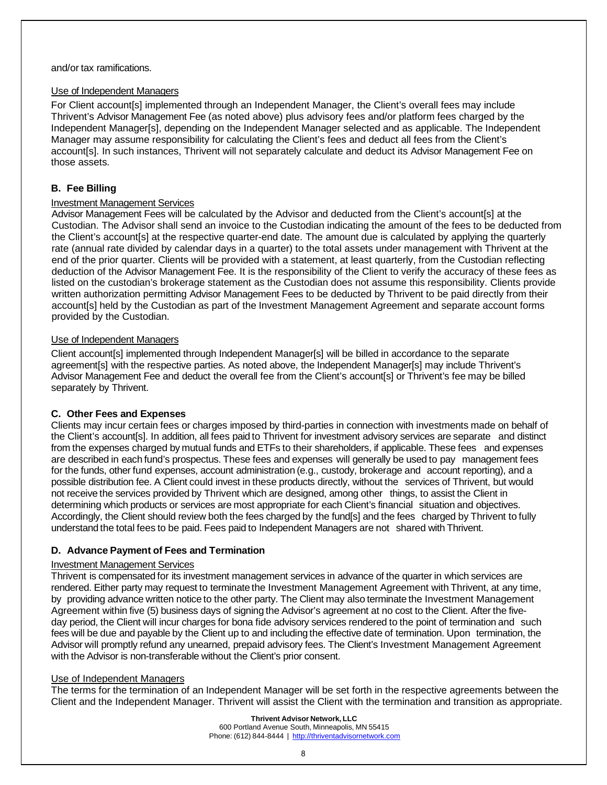#### and/or tax ramifications.

#### Use of Independent Managers

For Client account[s] implemented through an Independent Manager, the Client's overall fees may include Thrivent's Advisor Management Fee (as noted above) plus advisory fees and/or platform fees charged by the Independent Manager[s], depending on the Independent Manager selected and as applicable. The Independent Manager may assume responsibility for calculating the Client's fees and deduct all fees from the Client's account[s]. In such instances, Thrivent will not separately calculate and deduct its Advisor Management Fee on those assets.

#### <span id="page-7-0"></span>**B. Fee Billing**

#### Investment Management Services

Advisor Management Fees will be calculated by the Advisor and deducted from the Client's account[s] at the Custodian. The Advisor shall send an invoice to the Custodian indicating the amount of the fees to be deducted from the Client's account[s] at the respective quarter-end date. The amount due is calculated by applying the quarterly rate (annual rate divided by calendar days in a quarter) to the total assets under management with Thrivent at the end of the prior quarter. Clients will be provided with a statement, at least quarterly, from the Custodian reflecting deduction of the Advisor Management Fee. It is the responsibility of the Client to verify the accuracy of these fees as listed on the custodian's brokerage statement as the Custodian does not assume this responsibility. Clients provide written authorization permitting Advisor Management Fees to be deducted by Thrivent to be paid directly from their account[s] held by the Custodian as part of the Investment Management Agreement and separate account forms provided by the Custodian.

#### Use of Independent Managers

Client account[s] implemented through Independent Manager[s] will be billed in accordance to the separate agreement[s] with the respective parties. As noted above, the Independent Manager[s] may include Thrivent's Advisor Management Fee and deduct the overall fee from the Client's account[s] or Thrivent's fee may be billed separately by Thrivent.

#### <span id="page-7-1"></span>**C. Other Fees and Expenses**

Clients may incur certain fees or charges imposed by third-parties in connection with investments made on behalf of the Client's account[s]. In addition, all fees paid to Thrivent for investment advisory services are separate and distinct from the expenses charged by mutual funds and ETFs to their shareholders, if applicable. These fees and expenses are described in each fund's prospectus. These fees and expenses will generally be used to pay management fees for the funds, other fund expenses, account administration (e.g., custody, brokerage and account reporting), and a possible distribution fee. A Client could invest in these products directly, without the services of Thrivent, but would not receive the services provided by Thrivent which are designed, among other things, to assist the Client in determining which products or services are most appropriate for each Client's financial situation and objectives. Accordingly, the Client should review both the fees charged by the fund[s] and the fees charged by Thrivent to fully understand the total fees to be paid. Fees paid to Independent Managers are not shared with Thrivent.

#### <span id="page-7-2"></span>**D. Advance Payment of Fees and Termination**

#### Investment Management Services

Thrivent is compensated for its investment management services in advance of the quarter in which services are rendered. Either party may request to terminate the Investment Management Agreement with Thrivent, at any time, by providing advance written notice to the other party. The Client may also terminate the Investment Management Agreement within five (5) business days of signing the Advisor's agreement at no cost to the Client. After the fiveday period, the Client will incur charges for bona fide advisory services rendered to the point of termination and such fees will be due and payable by the Client up to and including the effective date of termination. Upon termination, the Advisor will promptly refund any unearned, prepaid advisory fees. The Client's Investment Management Agreement with the Advisor is non-transferable without the Client's prior consent.

#### Use of Independent Managers

The terms for the termination of an Independent Manager will be set forth in the respective agreements between the Client and the Independent Manager. Thrivent will assist the Client with the termination and transition as appropriate.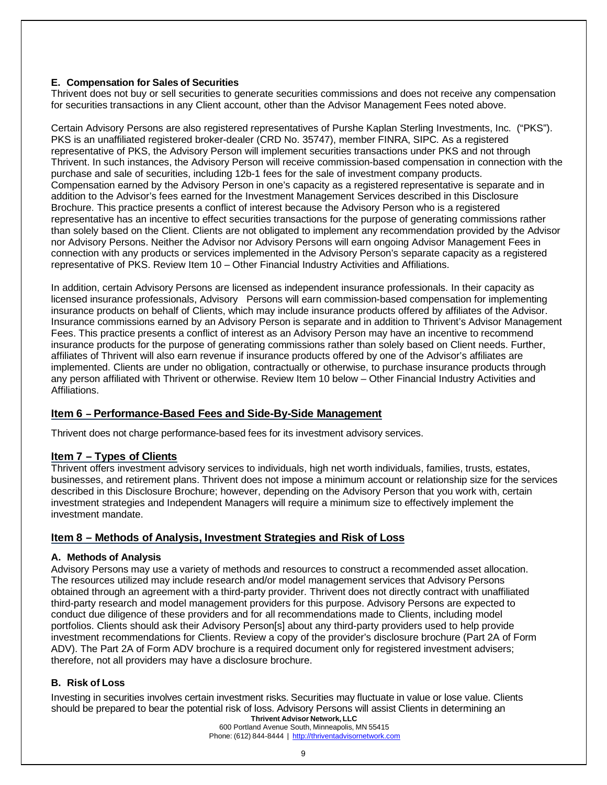#### <span id="page-8-0"></span>**E. Compensation for Sales of Securities**

Thrivent does not buy or sell securities to generate securities commissions and does not receive any compensation for securities transactions in any Client account, other than the Advisor Management Fees noted above.

Certain Advisory Persons are also registered representatives of Purshe Kaplan Sterling Investments, Inc. ("PKS"). PKS is an unaffiliated registered broker-dealer (CRD No. 35747), member FINRA, SIPC. As a registered representative of PKS, the Advisory Person will implement securities transactions under PKS and not through Thrivent. In such instances, the Advisory Person will receive commission-based compensation in connection with the purchase and sale of securities, including 12b-1 fees for the sale of investment company products. Compensation earned by the Advisory Person in one's capacity as a registered representative is separate and in addition to the Advisor's fees earned for the Investment Management Services described in this Disclosure Brochure. This practice presents a conflict of interest because the Advisory Person who is a registered representative has an incentive to effect securities transactions for the purpose of generating commissions rather than solely based on the Client. Clients are not obligated to implement any recommendation provided by the Advisor nor Advisory Persons. Neither the Advisor nor Advisory Persons will earn ongoing Advisor Management Fees in connection with any products or services implemented in the Advisory Person's separate capacity as a registered representative of PKS. Review Item 10 – Other Financial Industry Activities and Affiliations.

In addition, certain Advisory Persons are licensed as independent insurance professionals. In their capacity as licensed insurance professionals, Advisory Persons will earn commission-based compensation for implementing insurance products on behalf of Clients, which may include insurance products offered by affiliates of the Advisor. Insurance commissions earned by an Advisory Person is separate and in addition to Thrivent's Advisor Management Fees. This practice presents a conflict of interest as an Advisory Person may have an incentive to recommend insurance products for the purpose of generating commissions rather than solely based on Client needs. Further, affiliates of Thrivent will also earn revenue if insurance products offered by one of the Advisor's affiliates are implemented. Clients are under no obligation, contractually or otherwise, to purchase insurance products through any person affiliated with Thrivent or otherwise. Review Item 10 below – Other Financial Industry Activities and Affiliations.

#### <span id="page-8-1"></span>**Item 6 – Performance-Based Fees and Side-By-Side Management**

Thrivent does not charge performance-based fees for its investment advisory services.

#### <span id="page-8-2"></span>**Item 7 – Types of Clients**

Thrivent offers investment advisory services to individuals, high net worth individuals, families, trusts, estates, businesses, and retirement plans. Thrivent does not impose a minimum account or relationship size for the services described in this Disclosure Brochure; however, depending on the Advisory Person that you work with, certain investment strategies and Independent Managers will require a minimum size to effectively implement the investment mandate.

#### <span id="page-8-3"></span>**Item 8 – Methods of Analysis, Investment Strategies and Risk of Loss**

#### <span id="page-8-4"></span>**A. Methods of Analysis**

Advisory Persons may use a variety of methods and resources to construct a recommended asset allocation. The resources utilized may include research and/or model management services that Advisory Persons obtained through an agreement with a third-party provider. Thrivent does not directly contract with unaffiliated third-party research and model management providers for this purpose. Advisory Persons are expected to conduct due diligence of these providers and for all recommendations made to Clients, including model portfolios. Clients should ask their Advisory Person[s] about any third-party providers used to help provide investment recommendations for Clients. Review a copy of the provider's disclosure brochure (Part 2A of Form ADV). The Part 2A of Form ADV brochure is a required document only for registered investment advisers; therefore, not all providers may have a disclosure brochure.

#### <span id="page-8-5"></span>**B. Risk of Loss**

Investing in securities involves certain investment risks. Securities may fluctuate in value or lose value. Clients should be prepared to bear the potential risk of loss. Advisory Persons will assist Clients in determining an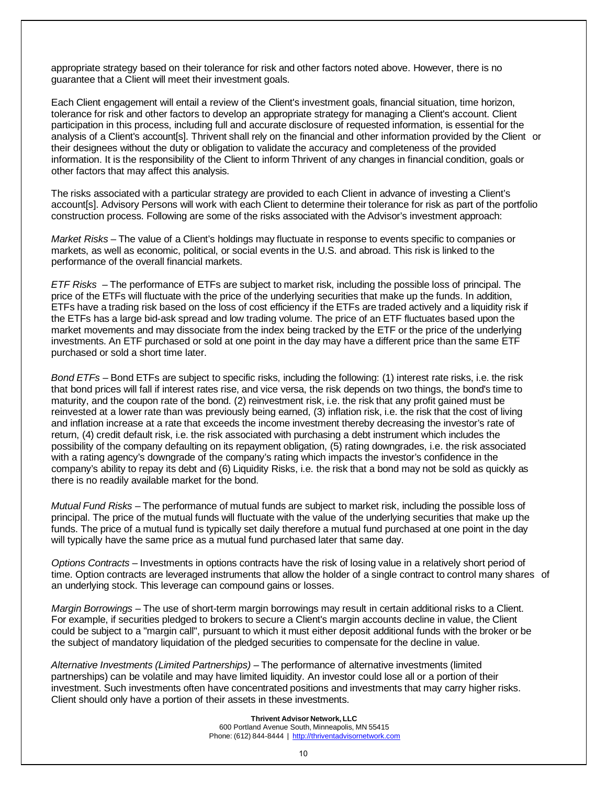appropriate strategy based on their tolerance for risk and other factors noted above. However, there is no guarantee that a Client will meet their investment goals.

Each Client engagement will entail a review of the Client's investment goals, financial situation, time horizon, tolerance for risk and other factors to develop an appropriate strategy for managing a Client's account. Client participation in this process, including full and accurate disclosure of requested information, is essential for the analysis of a Client's account[s]. Thrivent shall rely on the financial and other information provided by the Client or their designees without the duty or obligation to validate the accuracy and completeness of the provided information. It is the responsibility of the Client to inform Thrivent of any changes in financial condition, goals or other factors that may affect this analysis.

The risks associated with a particular strategy are provided to each Client in advance of investing a Client's account[s]. Advisory Persons will work with each Client to determine their tolerance for risk as part of the portfolio construction process. Following are some of the risks associated with the Advisor's investment approach:

*Market Risks* – The value of a Client's holdings may fluctuate in response to events specific to companies or markets, as well as economic, political, or social events in the U.S. and abroad. This risk is linked to the performance of the overall financial markets.

*ETF Risks* – The performance of ETFs are subject to market risk, including the possible loss of principal. The price of the ETFs will fluctuate with the price of the underlying securities that make up the funds. In addition, ETFs have a trading risk based on the loss of cost efficiency if the ETFs are traded actively and a liquidity risk if the ETFs has a large bid-ask spread and low trading volume. The price of an ETF fluctuates based upon the market movements and may dissociate from the index being tracked by the ETF or the price of the underlying investments. An ETF purchased or sold at one point in the day may have a different price than the same ETF purchased or sold a short time later.

*Bond ETFs* – Bond ETFs are subject to specific risks, including the following: (1) interest rate risks, i.e. the risk that bond prices will fall if interest rates rise, and vice versa, the risk depends on two things, the bond's time to maturity, and the coupon rate of the bond. (2) reinvestment risk, i.e. the risk that any profit gained must be reinvested at a lower rate than was previously being earned, (3) inflation risk, i.e. the risk that the cost of living and inflation increase at a rate that exceeds the income investment thereby decreasing the investor's rate of return, (4) credit default risk, i.e. the risk associated with purchasing a debt instrument which includes the possibility of the company defaulting on its repayment obligation, (5) rating downgrades, i.e. the risk associated with a rating agency's downgrade of the company's rating which impacts the investor's confidence in the company's ability to repay its debt and (6) Liquidity Risks, i.e. the risk that a bond may not be sold as quickly as there is no readily available market for the bond.

*Mutual Fund Risks* – The performance of mutual funds are subject to market risk, including the possible loss of principal. The price of the mutual funds will fluctuate with the value of the underlying securities that make up the funds. The price of a mutual fund is typically set daily therefore a mutual fund purchased at one point in the day will typically have the same price as a mutual fund purchased later that same day.

*Options Contracts* – Investments in options contracts have the risk of losing value in a relatively short period of time. Option contracts are leveraged instruments that allow the holder of a single contract to control many shares of an underlying stock. This leverage can compound gains or losses.

*Margin Borrowings* – The use of short-term margin borrowings may result in certain additional risks to a Client. For example, if securities pledged to brokers to secure a Client's margin accounts decline in value, the Client could be subject to a "margin call", pursuant to which it must either deposit additional funds with the broker or be the subject of mandatory liquidation of the pledged securities to compensate for the decline in value.

*Alternative Investments (Limited Partnerships)* – The performance of alternative investments (limited partnerships) can be volatile and may have limited liquidity. An investor could lose all or a portion of their investment. Such investments often have concentrated positions and investments that may carry higher risks. Client should only have a portion of their assets in these investments.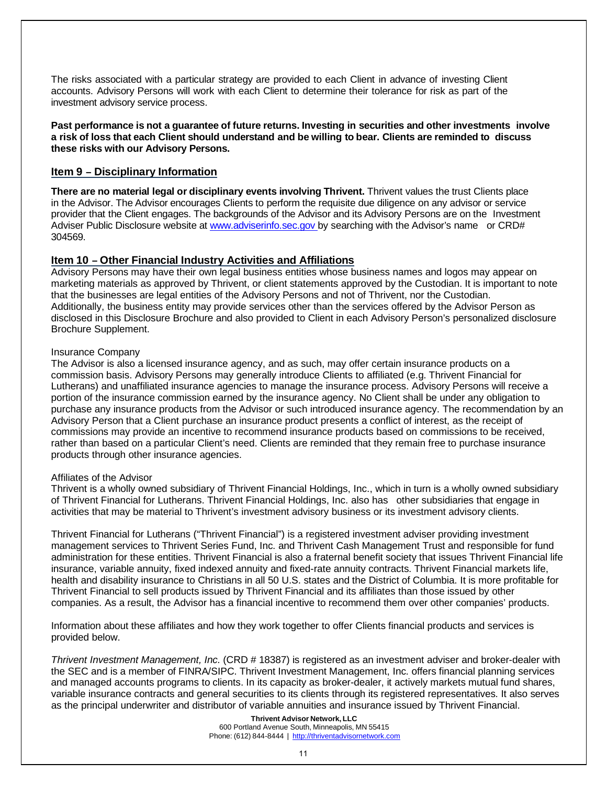The risks associated with a particular strategy are provided to each Client in advance of investing Client accounts. Advisory Persons will work with each Client to determine their tolerance for risk as part of the investment advisory service process.

**Past performance is not a guarantee of future returns. Investing in securities and other investments involve a risk of loss that each Client should understand and be willing to bear. Clients are reminded to discuss these risks with our Advisory Persons.**

#### <span id="page-10-0"></span>**Item 9 – Disciplinary Information**

**There are no material legal or disciplinary events involving Thrivent.** Thrivent values the trust Clients place in the Advisor. The Advisor encourages Clients to perform the requisite due diligence on any advisor or service provider that the Client engages. The backgrounds of the Advisor and its Advisory Persons are on the Investment Adviser Public Disclosure website at [www.adviserinfo.sec.gov](http://www.adviserinfo.sec.gov/) by searching with the Advisor's name or CRD# 304569.

#### <span id="page-10-1"></span>**Item 10 – Other Financial Industry Activities and Affiliations**

Advisory Persons may have their own legal business entities whose business names and logos may appear on marketing materials as approved by Thrivent, or client statements approved by the Custodian. It is important to note that the businesses are legal entities of the Advisory Persons and not of Thrivent, nor the Custodian. Additionally, the business entity may provide services other than the services offered by the Advisor Person as disclosed in this Disclosure Brochure and also provided to Client in each Advisory Person's personalized disclosure Brochure Supplement.

#### Insurance Company

The Advisor is also a licensed insurance agency, and as such, may offer certain insurance products on a commission basis. Advisory Persons may generally introduce Clients to affiliated (e.g. Thrivent Financial for Lutherans) and unaffiliated insurance agencies to manage the insurance process. Advisory Persons will receive a portion of the insurance commission earned by the insurance agency. No Client shall be under any obligation to purchase any insurance products from the Advisor or such introduced insurance agency. The recommendation by an Advisory Person that a Client purchase an insurance product presents a conflict of interest, as the receipt of commissions may provide an incentive to recommend insurance products based on commissions to be received, rather than based on a particular Client's need. Clients are reminded that they remain free to purchase insurance products through other insurance agencies.

#### Affiliates of the Advisor

Thrivent is a wholly owned subsidiary of Thrivent Financial Holdings, Inc., which in turn is a wholly owned subsidiary of Thrivent Financial for Lutherans. Thrivent Financial Holdings, Inc. also has other subsidiaries that engage in activities that may be material to Thrivent's investment advisory business or its investment advisory clients.

Thrivent Financial for Lutherans ("Thrivent Financial") is a registered investment adviser providing investment management services to Thrivent Series Fund, Inc. and Thrivent Cash Management Trust and responsible for fund administration for these entities. Thrivent Financial is also a fraternal benefit society that issues Thrivent Financial life insurance, variable annuity, fixed indexed annuity and fixed-rate annuity contracts. Thrivent Financial markets life, health and disability insurance to Christians in all 50 U.S. states and the District of Columbia. It is more profitable for Thrivent Financial to sell products issued by Thrivent Financial and its affiliates than those issued by other companies. As a result, the Advisor has a financial incentive to recommend them over other companies' products.

Information about these affiliates and how they work together to offer Clients financial products and services is provided below.

*Thrivent Investment Management, Inc.* (CRD # 18387) is registered as an investment adviser and broker-dealer with the SEC and is a member of FINRA/SIPC. Thrivent Investment Management, Inc. offers financial planning services and managed accounts programs to clients. In its capacity as broker-dealer, it actively markets mutual fund shares, variable insurance contracts and general securities to its clients through its registered representatives. It also serves as the principal underwriter and distributor of variable annuities and insurance issued by Thrivent Financial.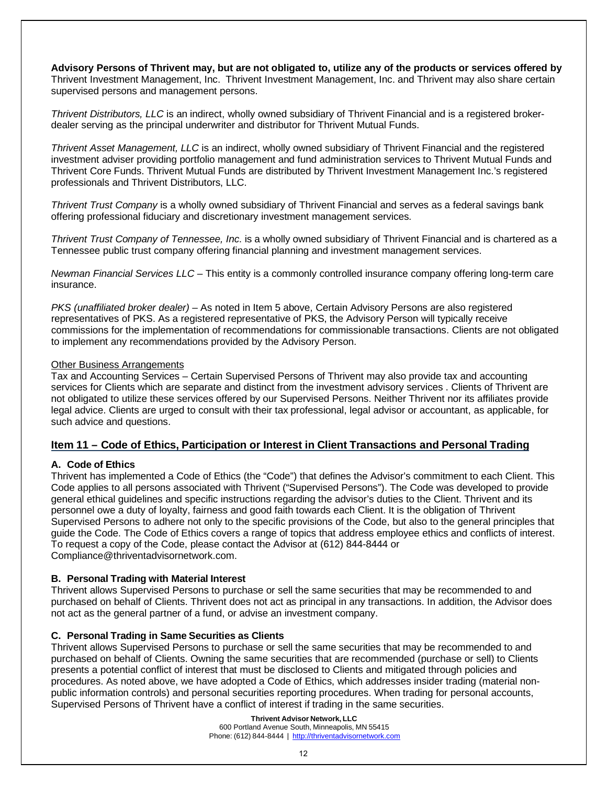**Advisory Persons of Thrivent may, but are not obligated to, utilize any of the products or services offered by** Thrivent Investment Management, Inc. Thrivent Investment Management, Inc. and Thrivent may also share certain supervised persons and management persons.

*Thrivent Distributors, LLC* is an indirect, wholly owned subsidiary of Thrivent Financial and is a registered brokerdealer serving as the principal underwriter and distributor for Thrivent Mutual Funds.

*Thrivent Asset Management, LLC* is an indirect, wholly owned subsidiary of Thrivent Financial and the registered investment adviser providing portfolio management and fund administration services to Thrivent Mutual Funds and Thrivent Core Funds. Thrivent Mutual Funds are distributed by Thrivent Investment Management Inc.'s registered professionals and Thrivent Distributors, LLC.

*Thrivent Trust Company* is a wholly owned subsidiary of Thrivent Financial and serves as a federal savings bank offering professional fiduciary and discretionary investment management services.

*Thrivent Trust Company of Tennessee, Inc*. is a wholly owned subsidiary of Thrivent Financial and is chartered as a Tennessee public trust company offering financial planning and investment management services.

*Newman Financial Services LLC* – This entity is a commonly controlled insurance company offering long-term care insurance.

*PKS (unaffiliated broker dealer)* – As noted in Item 5 above, Certain Advisory Persons are also registered representatives of PKS. As a registered representative of PKS, the Advisory Person will typically receive commissions for the implementation of recommendations for commissionable transactions. Clients are not obligated to implement any recommendations provided by the Advisory Person.

#### Other Business Arrangements

Tax and Accounting Services – Certain Supervised Persons of Thrivent may also provide tax and accounting services for Clients which are separate and distinct from the investment advisory services . Clients of Thrivent are not obligated to utilize these services offered by our Supervised Persons. Neither Thrivent nor its affiliates provide legal advice. Clients are urged to consult with their tax professional, legal advisor or accountant, as applicable, for such advice and questions.

#### <span id="page-11-0"></span>**Item 11 – Code of Ethics, Participation or Interest in Client Transactions and Personal Trading**

#### <span id="page-11-1"></span>**A. Code of Ethics**

Thrivent has implemented a Code of Ethics (the "Code") that defines the Advisor's commitment to each Client. This Code applies to all persons associated with Thrivent ("Supervised Persons"). The Code was developed to provide general ethical guidelines and specific instructions regarding the advisor's duties to the Client. Thrivent and its personnel owe a duty of loyalty, fairness and good faith towards each Client. It is the obligation of Thrivent Supervised Persons to adhere not only to the specific provisions of the Code, but also to the general principles that guide the Code. The Code of Ethics covers a range of topics that address employee ethics and conflicts of interest. To request a copy of the Code, please contact the Advisor at (612) 844-8444 or Compliance@thriventadvisornetwork.com.

#### <span id="page-11-2"></span>**B. Personal Trading with Material Interest**

Thrivent allows Supervised Persons to purchase or sell the same securities that may be recommended to and purchased on behalf of Clients. Thrivent does not act as principal in any transactions. In addition, the Advisor does not act as the general partner of a fund, or advise an investment company.

#### <span id="page-11-3"></span>**C. Personal Trading in Same Securities as Clients**

Thrivent allows Supervised Persons to purchase or sell the same securities that may be recommended to and purchased on behalf of Clients. Owning the same securities that are recommended (purchase or sell) to Clients presents a potential conflict of interest that must be disclosed to Clients and mitigated through policies and procedures. As noted above, we have adopted a Code of Ethics, which addresses insider trading (material nonpublic information controls) and personal securities reporting procedures. When trading for personal accounts, Supervised Persons of Thrivent have a conflict of interest if trading in the same securities.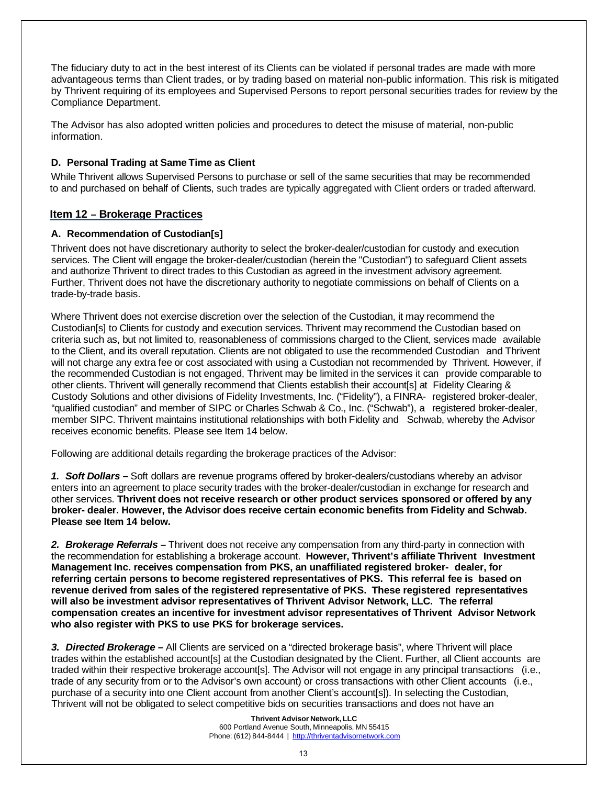The fiduciary duty to act in the best interest of its Clients can be violated if personal trades are made with more advantageous terms than Client trades, or by trading based on material non-public information. This risk is mitigated by Thrivent requiring of its employees and Supervised Persons to report personal securities trades for review by the Compliance Department.

The Advisor has also adopted written policies and procedures to detect the misuse of material, non-public information.

#### <span id="page-12-0"></span>**D. Personal Trading at Same Time as Client**

While Thrivent allows Supervised Persons to purchase or sell of the same securities that may be recommended to and purchased on behalf of Clients, such trades are typically aggregated with Client orders or traded afterward.

#### <span id="page-12-1"></span>**Item 12 – Brokerage Practices**

#### <span id="page-12-2"></span>**A. Recommendation of Custodian[s]**

Thrivent does not have discretionary authority to select the broker-dealer/custodian for custody and execution services. The Client will engage the broker-dealer/custodian (herein the "Custodian") to safeguard Client assets and authorize Thrivent to direct trades to this Custodian as agreed in the investment advisory agreement. Further, Thrivent does not have the discretionary authority to negotiate commissions on behalf of Clients on a trade-by-trade basis.

Where Thrivent does not exercise discretion over the selection of the Custodian, it may recommend the Custodian[s] to Clients for custody and execution services. Thrivent may recommend the Custodian based on criteria such as, but not limited to, reasonableness of commissions charged to the Client, services made available to the Client, and its overall reputation. Clients are not obligated to use the recommended Custodian and Thrivent will not charge any extra fee or cost associated with using a Custodian not recommended by Thrivent. However, if the recommended Custodian is not engaged, Thrivent may be limited in the services it can provide comparable to other clients. Thrivent will generally recommend that Clients establish their account[s] at Fidelity Clearing & Custody Solutions and other divisions of Fidelity Investments, Inc. ("Fidelity"), a FINRA- registered broker-dealer, "qualified custodian" and member of SIPC or Charles Schwab & Co., Inc. ("Schwab"), a registered broker-dealer, member SIPC. Thrivent maintains institutional relationships with both Fidelity and Schwab, whereby the Advisor receives economic benefits. Please see Item 14 below.

Following are additional details regarding the brokerage practices of the Advisor:

*1. Soft Dollars –* Soft dollars are revenue programs offered by broker-dealers/custodians whereby an advisor enters into an agreement to place security trades with the broker-dealer/custodian in exchange for research and other services. **Thrivent does not receive research or other product services sponsored or offered by any broker- dealer. However, the Advisor does receive certain economic benefits from Fidelity and Schwab. Please see Item 14 below.**

*2. Brokerage Referrals –* Thrivent does not receive any compensation from any third-party in connection with the recommendation for establishing a brokerage account. **However, Thrivent's affiliate Thrivent Investment Management Inc. receives compensation from PKS, an unaffiliated registered broker- dealer, for referring certain persons to become registered representatives of PKS. This referral fee is based on revenue derived from sales of the registered representative of PKS. These registered representatives will also be investment advisor representatives of Thrivent Advisor Network, LLC. The referral compensation creates an incentive for investment advisor representatives of Thrivent Advisor Network who also register with PKS to use PKS for brokerage services.**

*3. Directed Brokerage –* All Clients are serviced on a "directed brokerage basis", where Thrivent will place trades within the established account[s] at the Custodian designated by the Client. Further, all Client accounts are traded within their respective brokerage account[s]. The Advisor will not engage in any principal transactions (i.e., trade of any security from or to the Advisor's own account) or cross transactions with other Client accounts (i.e., purchase of a security into one Client account from another Client's account[s]). In selecting the Custodian, Thrivent will not be obligated to select competitive bids on securities transactions and does not have an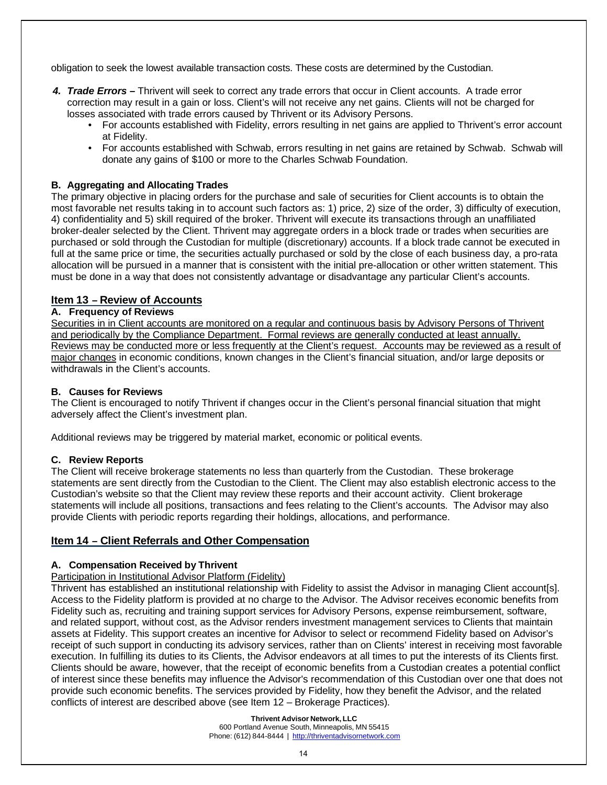obligation to seek the lowest available transaction costs. These costs are determined by the Custodian.

- *4. Trade Errors –* Thrivent will seek to correct any trade errors that occur in Client accounts. A trade error correction may result in a gain or loss. Client's will not receive any net gains. Clients will not be charged for losses associated with trade errors caused by Thrivent or its Advisory Persons.
	- For accounts established with Fidelity, errors resulting in net gains are applied to Thrivent's error account at Fidelity.
	- For accounts established with Schwab, errors resulting in net gains are retained by Schwab. Schwab will donate any gains of \$100 or more to the Charles Schwab Foundation.

#### <span id="page-13-0"></span>**B. Aggregating and Allocating Trades**

The primary objective in placing orders for the purchase and sale of securities for Client accounts is to obtain the most favorable net results taking in to account such factors as: 1) price, 2) size of the order, 3) difficulty of execution, 4) confidentiality and 5) skill required of the broker. Thrivent will execute its transactions through an unaffiliated broker-dealer selected by the Client. Thrivent may aggregate orders in a block trade or trades when securities are purchased or sold through the Custodian for multiple (discretionary) accounts. If a block trade cannot be executed in full at the same price or time, the securities actually purchased or sold by the close of each business day, a pro-rata allocation will be pursued in a manner that is consistent with the initial pre-allocation or other written statement. This must be done in a way that does not consistently advantage or disadvantage any particular Client's accounts.

#### <span id="page-13-1"></span>**Item 13 – Review of Accounts**

#### <span id="page-13-2"></span>**A. Frequency of Reviews**

Securities in in Client accounts are monitored on a regular and continuous basis by Advisory Persons of Thrivent and periodically by the Compliance Department. Formal reviews are generally conducted at least annually. Reviews may be conducted more or less frequently at the Client's request. Accounts may be reviewed as a result of major changes in economic conditions, known changes in the Client's financial situation, and/or large deposits or withdrawals in the Client's accounts.

#### <span id="page-13-3"></span>**B. Causes for Reviews**

The Client is encouraged to notify Thrivent if changes occur in the Client's personal financial situation that might adversely affect the Client's investment plan.

Additional reviews may be triggered by material market, economic or political events.

#### <span id="page-13-4"></span>**C. Review Reports**

The Client will receive brokerage statements no less than quarterly from the Custodian. These brokerage statements are sent directly from the Custodian to the Client. The Client may also establish electronic access to the Custodian's website so that the Client may review these reports and their account activity. Client brokerage statements will include all positions, transactions and fees relating to the Client's accounts. The Advisor may also provide Clients with periodic reports regarding their holdings, allocations, and performance.

#### <span id="page-13-5"></span>**Item 14 – Client Referrals and Other Compensation**

#### <span id="page-13-6"></span>**A. Compensation Received by Thrivent**

#### Participation in Institutional Advisor Platform (Fidelity)

Thrivent has established an institutional relationship with Fidelity to assist the Advisor in managing Client account[s]. Access to the Fidelity platform is provided at no charge to the Advisor. The Advisor receives economic benefits from Fidelity such as, recruiting and training support services for Advisory Persons, expense reimbursement, software, and related support, without cost, as the Advisor renders investment management services to Clients that maintain assets at Fidelity. This support creates an incentive for Advisor to select or recommend Fidelity based on Advisor's receipt of such support in conducting its advisory services, rather than on Clients' interest in receiving most favorable execution. In fulfilling its duties to its Clients, the Advisor endeavors at all times to put the interests of its Clients first. Clients should be aware, however, that the receipt of economic benefits from a Custodian creates a potential conflict of interest since these benefits may influence the Advisor's recommendation of this Custodian over one that does not provide such economic benefits. The services provided by Fidelity, how they benefit the Advisor, and the related conflicts of interest are described above (see Item 12 – Brokerage Practices).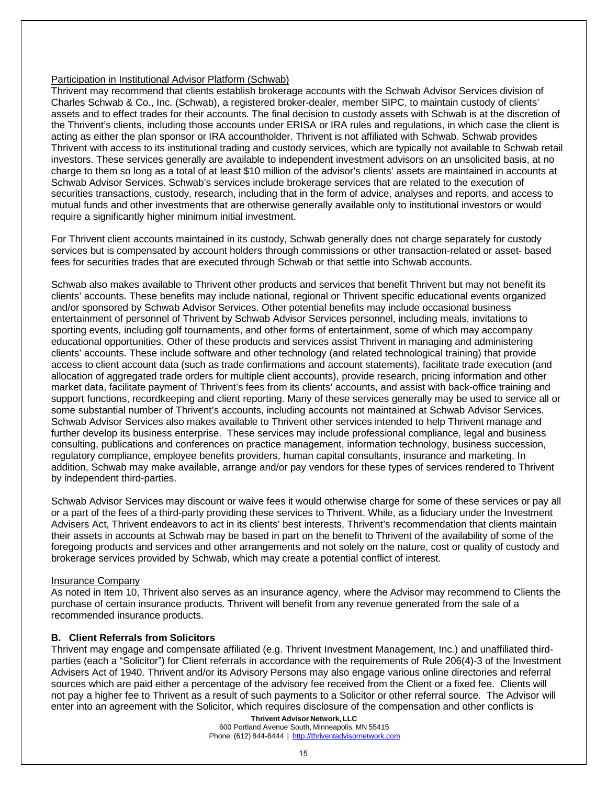#### Participation in Institutional Advisor Platform (Schwab)

Thrivent may recommend that clients establish brokerage accounts with the Schwab Advisor Services division of Charles Schwab & Co., Inc. (Schwab), a registered broker-dealer, member SIPC, to maintain custody of clients' assets and to effect trades for their accounts. The final decision to custody assets with Schwab is at the discretion of the Thrivent's clients, including those accounts under ERISA or IRA rules and regulations, in which case the client is acting as either the plan sponsor or IRA accountholder. Thrivent is not affiliated with Schwab. Schwab provides Thrivent with access to its institutional trading and custody services, which are typically not available to Schwab retail investors. These services generally are available to independent investment advisors on an unsolicited basis, at no charge to them so long as a total of at least \$10 million of the advisor's clients' assets are maintained in accounts at Schwab Advisor Services. Schwab's services include brokerage services that are related to the execution of securities transactions, custody, research, including that in the form of advice, analyses and reports, and access to mutual funds and other investments that are otherwise generally available only to institutional investors or would require a significantly higher minimum initial investment.

For Thrivent client accounts maintained in its custody, Schwab generally does not charge separately for custody services but is compensated by account holders through commissions or other transaction-related or asset- based fees for securities trades that are executed through Schwab or that settle into Schwab accounts.

Schwab also makes available to Thrivent other products and services that benefit Thrivent but may not benefit its clients' accounts. These benefits may include national, regional or Thrivent specific educational events organized and/or sponsored by Schwab Advisor Services. Other potential benefits may include occasional business entertainment of personnel of Thrivent by Schwab Advisor Services personnel, including meals, invitations to sporting events, including golf tournaments, and other forms of entertainment, some of which may accompany educational opportunities. Other of these products and services assist Thrivent in managing and administering clients' accounts. These include software and other technology (and related technological training) that provide access to client account data (such as trade confirmations and account statements), facilitate trade execution (and allocation of aggregated trade orders for multiple client accounts), provide research, pricing information and other market data, facilitate payment of Thrivent's fees from its clients' accounts, and assist with back-office training and support functions, recordkeeping and client reporting. Many of these services generally may be used to service all or some substantial number of Thrivent's accounts, including accounts not maintained at Schwab Advisor Services. Schwab Advisor Services also makes available to Thrivent other services intended to help Thrivent manage and further develop its business enterprise. These services may include professional compliance, legal and business consulting, publications and conferences on practice management, information technology, business succession, regulatory compliance, employee benefits providers, human capital consultants, insurance and marketing. In addition, Schwab may make available, arrange and/or pay vendors for these types of services rendered to Thrivent by independent third-parties.

Schwab Advisor Services may discount or waive fees it would otherwise charge for some of these services or pay all or a part of the fees of a third-party providing these services to Thrivent. While, as a fiduciary under the Investment Advisers Act, Thrivent endeavors to act in its clients' best interests, Thrivent's recommendation that clients maintain their assets in accounts at Schwab may be based in part on the benefit to Thrivent of the availability of some of the foregoing products and services and other arrangements and not solely on the nature, cost or quality of custody and brokerage services provided by Schwab, which may create a potential conflict of interest.

#### Insurance Company

As noted in Item 10, Thrivent also serves as an insurance agency, where the Advisor may recommend to Clients the purchase of certain insurance products. Thrivent will benefit from any revenue generated from the sale of a recommended insurance products.

#### <span id="page-14-0"></span>**B. Client Referrals from Solicitors**

Thrivent may engage and compensate affiliated (e.g. Thrivent Investment Management, Inc.) and unaffiliated thirdparties (each a "Solicitor") for Client referrals in accordance with the requirements of Rule 206(4)-3 of the Investment Advisers Act of 1940. Thrivent and/or its Advisory Persons may also engage various online directories and referral sources which are paid either a percentage of the advisory fee received from the Client or a fixed fee. Clients will not pay a higher fee to Thrivent as a result of such payments to a Solicitor or other referral source. The Advisor will enter into an agreement with the Solicitor, which requires disclosure of the compensation and other conflicts is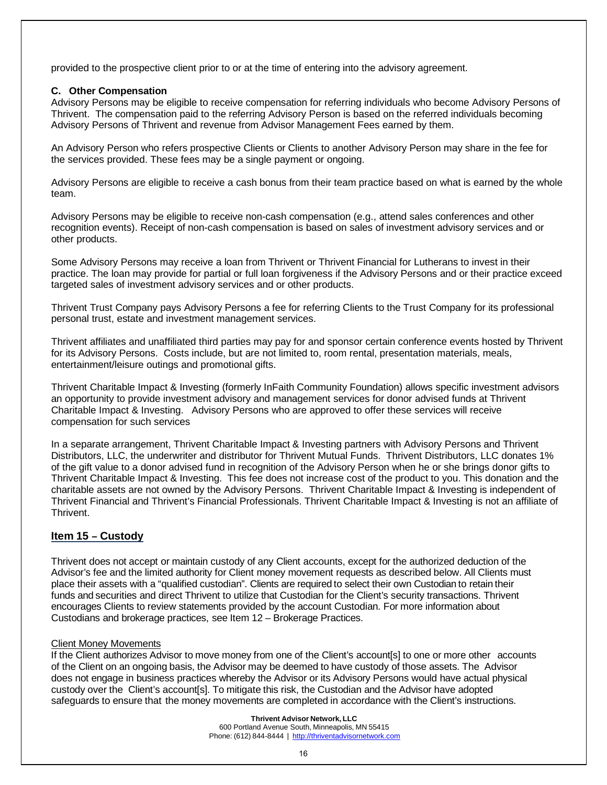provided to the prospective client prior to or at the time of entering into the advisory agreement.

#### **C. Other Compensation**

Advisory Persons may be eligible to receive compensation for referring individuals who become Advisory Persons of Thrivent. The compensation paid to the referring Advisory Person is based on the referred individuals becoming Advisory Persons of Thrivent and revenue from Advisor Management Fees earned by them.

An Advisory Person who refers prospective Clients or Clients to another Advisory Person may share in the fee for the services provided. These fees may be a single payment or ongoing.

Advisory Persons are eligible to receive a cash bonus from their team practice based on what is earned by the whole team.

Advisory Persons may be eligible to receive non-cash compensation (e.g., attend sales conferences and other recognition events). Receipt of non-cash compensation is based on sales of investment advisory services and or other products.

Some Advisory Persons may receive a loan from Thrivent or Thrivent Financial for Lutherans to invest in their practice. The loan may provide for partial or full loan forgiveness if the Advisory Persons and or their practice exceed targeted sales of investment advisory services and or other products.

Thrivent Trust Company pays Advisory Persons a fee for referring Clients to the Trust Company for its professional personal trust, estate and investment management services.

Thrivent affiliates and unaffiliated third parties may pay for and sponsor certain conference events hosted by Thrivent for its Advisory Persons. Costs include, but are not limited to, room rental, presentation materials, meals, entertainment/leisure outings and promotional gifts.

Thrivent Charitable Impact & Investing (formerly InFaith Community Foundation) allows specific investment advisors an opportunity to provide investment advisory and management services for donor advised funds at Thrivent Charitable Impact & Investing. Advisory Persons who are approved to offer these services will receive compensation for such services

In a separate arrangement, Thrivent Charitable Impact & Investing partners with Advisory Persons and Thrivent Distributors, LLC, the underwriter and distributor for Thrivent Mutual Funds. Thrivent Distributors, LLC donates 1% of the gift value to a donor advised fund in recognition of the Advisory Person when he or she brings donor gifts to Thrivent Charitable Impact & Investing. This fee does not increase cost of the product to you. This donation and the charitable assets are not owned by the Advisory Persons. Thrivent Charitable Impact & Investing is independent of Thrivent Financial and Thrivent's Financial Professionals. Thrivent Charitable Impact & Investing is not an affiliate of Thrivent.

#### <span id="page-15-0"></span>**Item 15 – Custody**

Thrivent does not accept or maintain custody of any Client accounts, except for the authorized deduction of the Advisor's fee and the limited authority for Client money movement requests as described below. All Clients must place their assets with a "qualified custodian". Clients are required to select their own Custodian to retain their funds and securities and direct Thrivent to utilize that Custodian for the Client's security transactions. Thrivent encourages Clients to review statements provided by the account Custodian. For more information about Custodians and brokerage practices, see Item 12 – Brokerage Practices.

#### Client Money Movements

If the Client authorizes Advisor to move money from one of the Client's account[s] to one or more other accounts of the Client on an ongoing basis, the Advisor may be deemed to have custody of those assets. The Advisor does not engage in business practices whereby the Advisor or its Advisory Persons would have actual physical custody over the Client's account[s]. To mitigate this risk, the Custodian and the Advisor have adopted safeguards to ensure that the money movements are completed in accordance with the Client's instructions.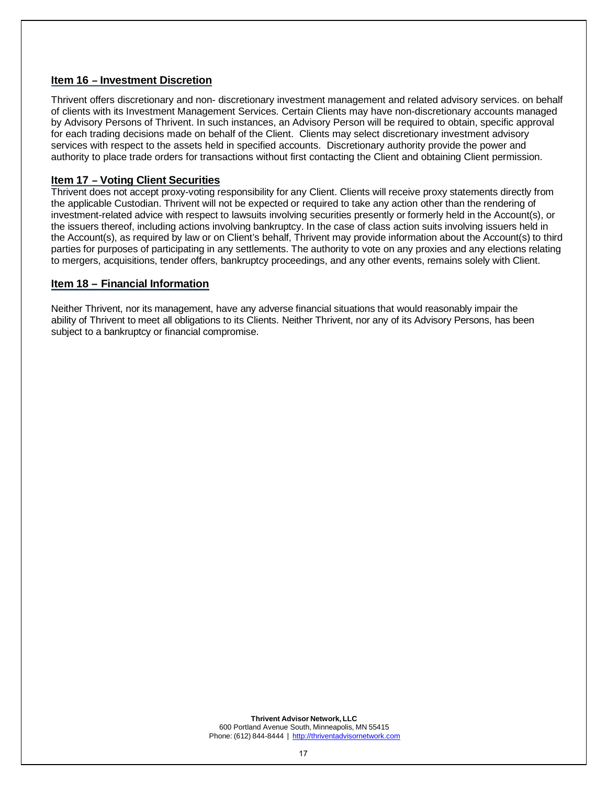#### <span id="page-16-0"></span>**Item 16 – Investment Discretion**

Thrivent offers discretionary and non- discretionary investment management and related advisory services. on behalf of clients with its Investment Management Services. Certain Clients may have non-discretionary accounts managed by Advisory Persons of Thrivent. In such instances, an Advisory Person will be required to obtain, specific approval for each trading decisions made on behalf of the Client. Clients may select discretionary investment advisory services with respect to the assets held in specified accounts. Discretionary authority provide the power and authority to place trade orders for transactions without first contacting the Client and obtaining Client permission.

#### <span id="page-16-1"></span>**Item 17 – Voting Client Securities**

Thrivent does not accept proxy-voting responsibility for any Client. Clients will receive proxy statements directly from the applicable Custodian. Thrivent will not be expected or required to take any action other than the rendering of investment-related advice with respect to lawsuits involving securities presently or formerly held in the Account(s), or the issuers thereof, including actions involving bankruptcy. In the case of class action suits involving issuers held in the Account(s), as required by law or on Client's behalf, Thrivent may provide information about the Account(s) to third parties for purposes of participating in any settlements. The authority to vote on any proxies and any elections relating to mergers, acquisitions, tender offers, bankruptcy proceedings, and any other events, remains solely with Client.

#### **Item 18 – Financial Information**

Neither Thrivent, nor its management, have any adverse financial situations that would reasonably impair the ability of Thrivent to meet all obligations to its Clients. Neither Thrivent, nor any of its Advisory Persons, has been subject to a bankruptcy or financial compromise.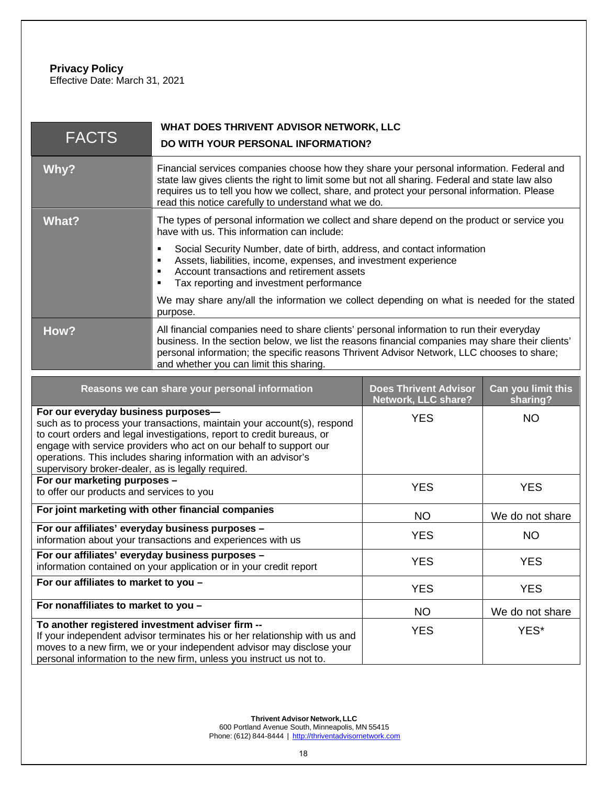#### <span id="page-17-0"></span>**Privacy Policy** Effective Date: March 31, 2021

| <b>FACTS</b>                                                                                                                                                                                                                                                                                                                                                                            | WHAT DOES THRIVENT ADVISOR NETWORK, LLC<br>DO WITH YOUR PERSONAL INFORMATION?                                                                                                                                                                                                                                                                        |                                                     |                                |
|-----------------------------------------------------------------------------------------------------------------------------------------------------------------------------------------------------------------------------------------------------------------------------------------------------------------------------------------------------------------------------------------|------------------------------------------------------------------------------------------------------------------------------------------------------------------------------------------------------------------------------------------------------------------------------------------------------------------------------------------------------|-----------------------------------------------------|--------------------------------|
| Why?                                                                                                                                                                                                                                                                                                                                                                                    | Financial services companies choose how they share your personal information. Federal and<br>state law gives clients the right to limit some but not all sharing. Federal and state law also<br>requires us to tell you how we collect, share, and protect your personal information. Please<br>read this notice carefully to understand what we do. |                                                     |                                |
| <b>What?</b>                                                                                                                                                                                                                                                                                                                                                                            | The types of personal information we collect and share depend on the product or service you<br>have with us. This information can include:                                                                                                                                                                                                           |                                                     |                                |
|                                                                                                                                                                                                                                                                                                                                                                                         | Social Security Number, date of birth, address, and contact information<br>$\blacksquare$<br>Assets, liabilities, income, expenses, and investment experience<br>٠<br>Account transactions and retirement assets<br>٠<br>Tax reporting and investment performance<br>٠                                                                               |                                                     |                                |
|                                                                                                                                                                                                                                                                                                                                                                                         | We may share any/all the information we collect depending on what is needed for the stated<br>purpose.                                                                                                                                                                                                                                               |                                                     |                                |
| How?                                                                                                                                                                                                                                                                                                                                                                                    | All financial companies need to share clients' personal information to run their everyday<br>business. In the section below, we list the reasons financial companies may share their clients'<br>personal information; the specific reasons Thrivent Advisor Network, LLC chooses to share;<br>and whether you can limit this sharing.               |                                                     |                                |
| Reasons we can share your personal information                                                                                                                                                                                                                                                                                                                                          |                                                                                                                                                                                                                                                                                                                                                      | <b>Does Thrivent Advisor</b><br>Network, LLC share? | Can you limit this<br>sharing? |
| For our everyday business purposes-<br>such as to process your transactions, maintain your account(s), respond<br>to court orders and legal investigations, report to credit bureaus, or<br>engage with service providers who act on our behalf to support our<br>operations. This includes sharing information with an advisor's<br>supervisory broker-dealer, as is legally required. |                                                                                                                                                                                                                                                                                                                                                      | <b>YES</b>                                          | <b>NO</b>                      |
| For our marketing purposes -<br>to offer our products and services to you                                                                                                                                                                                                                                                                                                               |                                                                                                                                                                                                                                                                                                                                                      | <b>YES</b>                                          | <b>YES</b>                     |
| For joint marketing with other financial companies                                                                                                                                                                                                                                                                                                                                      |                                                                                                                                                                                                                                                                                                                                                      | <b>NO</b>                                           | We do not share                |
| For our affiliates' everyday business purposes -<br>information about your transactions and experiences with us                                                                                                                                                                                                                                                                         |                                                                                                                                                                                                                                                                                                                                                      | <b>YES</b>                                          | <b>NO</b>                      |
| For our affiliates' everyday business purposes -<br>information contained on your application or in your credit report                                                                                                                                                                                                                                                                  |                                                                                                                                                                                                                                                                                                                                                      | <b>YES</b>                                          | <b>YES</b>                     |
| For our affiliates to market to you -                                                                                                                                                                                                                                                                                                                                                   |                                                                                                                                                                                                                                                                                                                                                      | <b>YES</b>                                          | <b>YES</b>                     |
| For nonaffiliates to market to you -                                                                                                                                                                                                                                                                                                                                                    |                                                                                                                                                                                                                                                                                                                                                      | <b>NO</b>                                           | We do not share                |
| To another registered investment adviser firm --<br>If your independent advisor terminates his or her relationship with us and<br>moves to a new firm, we or your independent advisor may disclose your<br>personal information to the new firm, unless you instruct us not to.                                                                                                         |                                                                                                                                                                                                                                                                                                                                                      | <b>YES</b>                                          | YES*                           |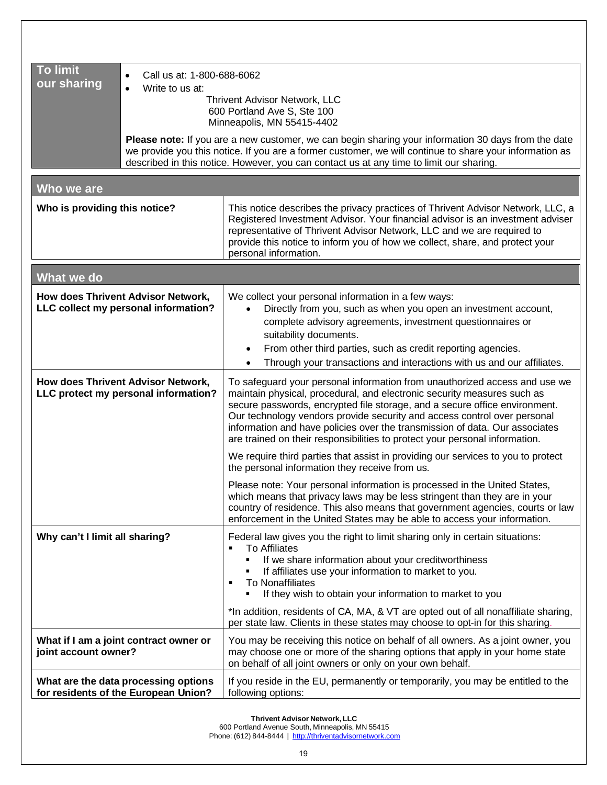| <b>To limit</b><br>Call us at: 1-800-688-6062<br>$\bullet$<br>our sharing<br>Write to us at:<br>$\bullet$<br><b>Thrivent Advisor Network, LLC</b><br>600 Portland Ave S, Ste 100<br>Minneapolis, MN 55415-4402<br>Please note: If you are a new customer, we can begin sharing your information 30 days from the date<br>we provide you this notice. If you are a former customer, we will continue to share your information as<br>described in this notice. However, you can contact us at any time to limit our sharing. |                                                                                                                                                                                                                                                                                                                                                                                                                                                                               |  |  |  |
|-----------------------------------------------------------------------------------------------------------------------------------------------------------------------------------------------------------------------------------------------------------------------------------------------------------------------------------------------------------------------------------------------------------------------------------------------------------------------------------------------------------------------------|-------------------------------------------------------------------------------------------------------------------------------------------------------------------------------------------------------------------------------------------------------------------------------------------------------------------------------------------------------------------------------------------------------------------------------------------------------------------------------|--|--|--|
| Who we are                                                                                                                                                                                                                                                                                                                                                                                                                                                                                                                  |                                                                                                                                                                                                                                                                                                                                                                                                                                                                               |  |  |  |
| Who is providing this notice?                                                                                                                                                                                                                                                                                                                                                                                                                                                                                               | This notice describes the privacy practices of Thrivent Advisor Network, LLC, a<br>Registered Investment Advisor. Your financial advisor is an investment adviser<br>representative of Thrivent Advisor Network, LLC and we are required to<br>provide this notice to inform you of how we collect, share, and protect your<br>personal information.                                                                                                                          |  |  |  |
| What we do                                                                                                                                                                                                                                                                                                                                                                                                                                                                                                                  |                                                                                                                                                                                                                                                                                                                                                                                                                                                                               |  |  |  |
| How does Thrivent Advisor Network,<br>LLC collect my personal information?                                                                                                                                                                                                                                                                                                                                                                                                                                                  | We collect your personal information in a few ways:<br>Directly from you, such as when you open an investment account,<br>complete advisory agreements, investment questionnaires or<br>suitability documents.<br>From other third parties, such as credit reporting agencies.<br>$\bullet$<br>Through your transactions and interactions with us and our affiliates.                                                                                                         |  |  |  |
| How does Thrivent Advisor Network,<br>LLC protect my personal information?                                                                                                                                                                                                                                                                                                                                                                                                                                                  | To safeguard your personal information from unauthorized access and use we<br>maintain physical, procedural, and electronic security measures such as<br>secure passwords, encrypted file storage, and a secure office environment.<br>Our technology vendors provide security and access control over personal<br>information and have policies over the transmission of data. Our associates<br>are trained on their responsibilities to protect your personal information. |  |  |  |
|                                                                                                                                                                                                                                                                                                                                                                                                                                                                                                                             | We require third parties that assist in providing our services to you to protect<br>the personal information they receive from us.<br>Please note: Your personal information is processed in the United States,<br>which means that privacy laws may be less stringent than they are in your<br>country of residence. This also means that government agencies, courts or law<br>enforcement in the United States may be able to access your information.                     |  |  |  |
| Why can't I limit all sharing?                                                                                                                                                                                                                                                                                                                                                                                                                                                                                              | Federal law gives you the right to limit sharing only in certain situations:<br><b>To Affiliates</b><br>If we share information about your creditworthiness<br>If affiliates use your information to market to you.<br><b>To Nonaffiliates</b><br>٠<br>If they wish to obtain your information to market to you                                                                                                                                                               |  |  |  |
|                                                                                                                                                                                                                                                                                                                                                                                                                                                                                                                             | *In addition, residents of CA, MA, & VT are opted out of all nonaffiliate sharing,<br>per state law. Clients in these states may choose to opt-in for this sharing.                                                                                                                                                                                                                                                                                                           |  |  |  |
| What if I am a joint contract owner or<br>joint account owner?                                                                                                                                                                                                                                                                                                                                                                                                                                                              | You may be receiving this notice on behalf of all owners. As a joint owner, you<br>may choose one or more of the sharing options that apply in your home state<br>on behalf of all joint owners or only on your own behalf.                                                                                                                                                                                                                                                   |  |  |  |
| What are the data processing options<br>If you reside in the EU, permanently or temporarily, you may be entitled to the<br>for residents of the European Union?<br>following options:                                                                                                                                                                                                                                                                                                                                       |                                                                                                                                                                                                                                                                                                                                                                                                                                                                               |  |  |  |